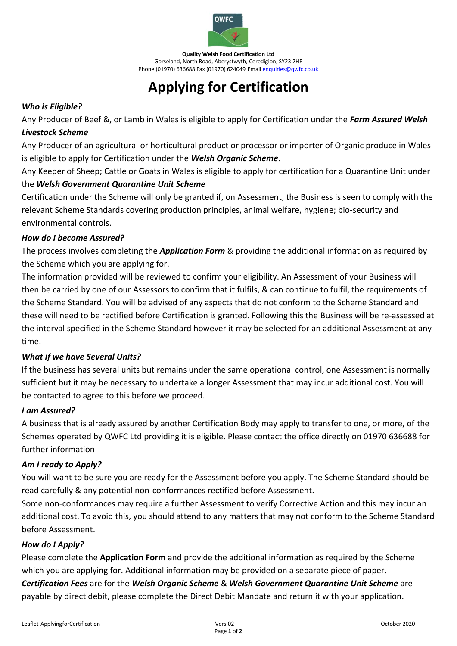

**Quality Welsh Food Certification Ltd** Gorseland, North Road, Aberystwyth, Ceredigion, SY23 2HE Phone (01970) 636688 Fax (01970) 624049 Emai[l enquiries@qwfc.co.uk](mailto:enquiries@qwfc.co.uk)

# **Applying for Certification**

### *Who is Eligible?*

Any Producer of Beef &, or Lamb in Wales is eligible to apply for Certification under the *Farm Assured Welsh Livestock Scheme* 

Any Producer of an agricultural or horticultural product or processor or importer of Organic produce in Wales is eligible to apply for Certification under the *Welsh Organic Scheme*.

Any Keeper of Sheep; Cattle or Goats in Wales is eligible to apply for certification for a Quarantine Unit under the *Welsh Government Quarantine Unit Scheme*

Certification under the Scheme will only be granted if, on Assessment, the Business is seen to comply with the relevant Scheme Standards covering production principles, animal welfare, hygiene; bio-security and environmental controls.

#### *How do I become Assured?*

The process involves completing the *Application Form* & providing the additional information as required by the Scheme which you are applying for.

The information provided will be reviewed to confirm your eligibility. An Assessment of your Business will then be carried by one of our Assessors to confirm that it fulfils, & can continue to fulfil, the requirements of the Scheme Standard. You will be advised of any aspects that do not conform to the Scheme Standard and these will need to be rectified before Certification is granted. Following this the Business will be re-assessed at the interval specified in the Scheme Standard however it may be selected for an additional Assessment at any time.

#### *What if we have Several Units?*

If the business has several units but remains under the same operational control, one Assessment is normally sufficient but it may be necessary to undertake a longer Assessment that may incur additional cost. You will be contacted to agree to this before we proceed.

## *I am Assured?*

A business that is already assured by another Certification Body may apply to transfer to one, or more, of the Schemes operated by QWFC Ltd providing it is eligible. Please contact the office directly on 01970 636688 for further information

## *Am I ready to Apply?*

You will want to be sure you are ready for the Assessment before you apply. The Scheme Standard should be read carefully & any potential non-conformances rectified before Assessment.

Some non-conformances may require a further Assessment to verify Corrective Action and this may incur an additional cost. To avoid this, you should attend to any matters that may not conform to the Scheme Standard before Assessment.

#### *How do I Apply?*

Please complete the **Application Form** and provide the additional information as required by the Scheme which you are applying for. Additional information may be provided on a separate piece of paper. *Certification Fees* are for the *Welsh Organic Scheme* & *Welsh Government Quarantine Unit Scheme* are payable by direct debit, please complete the Direct Debit Mandate and return it with your application.